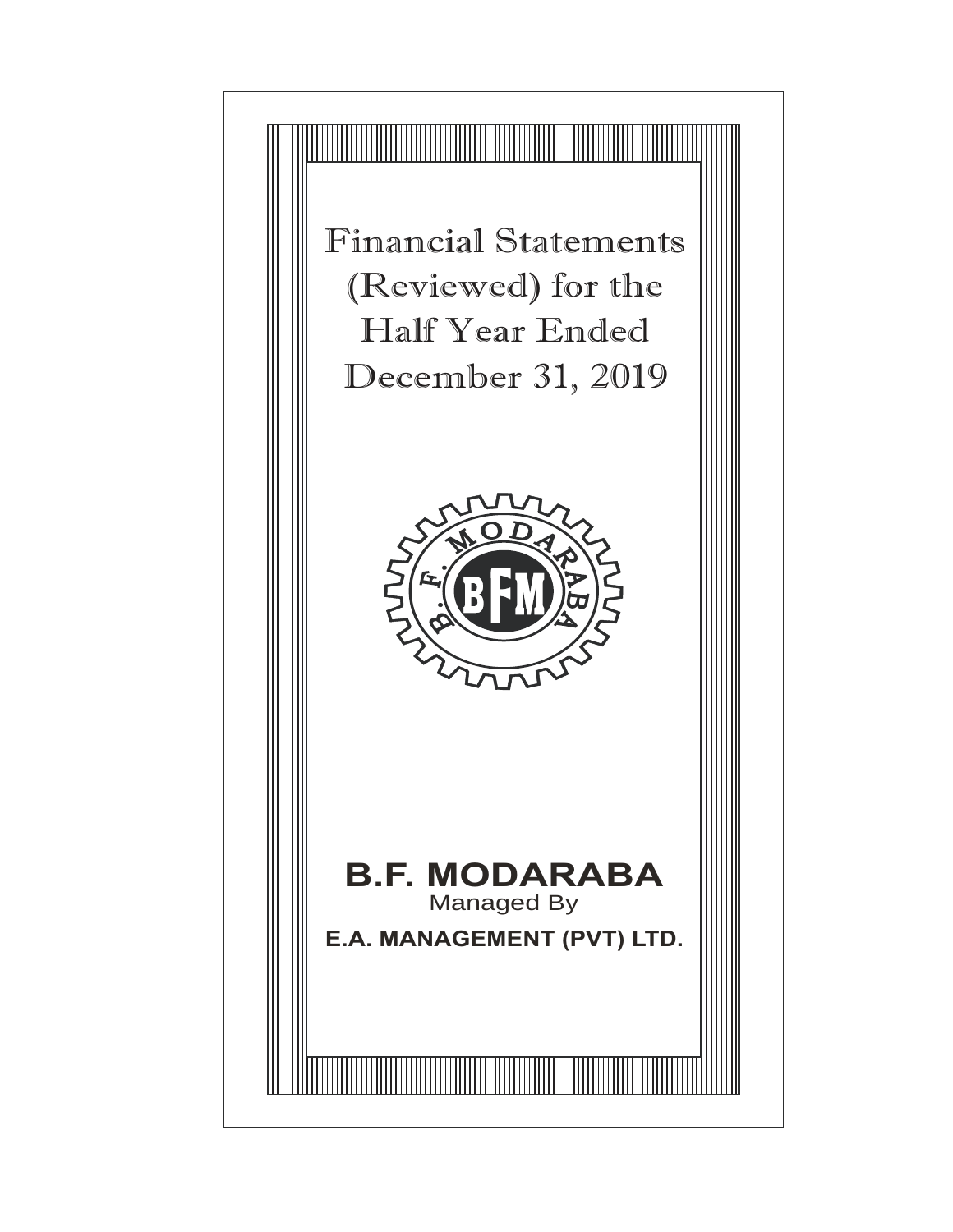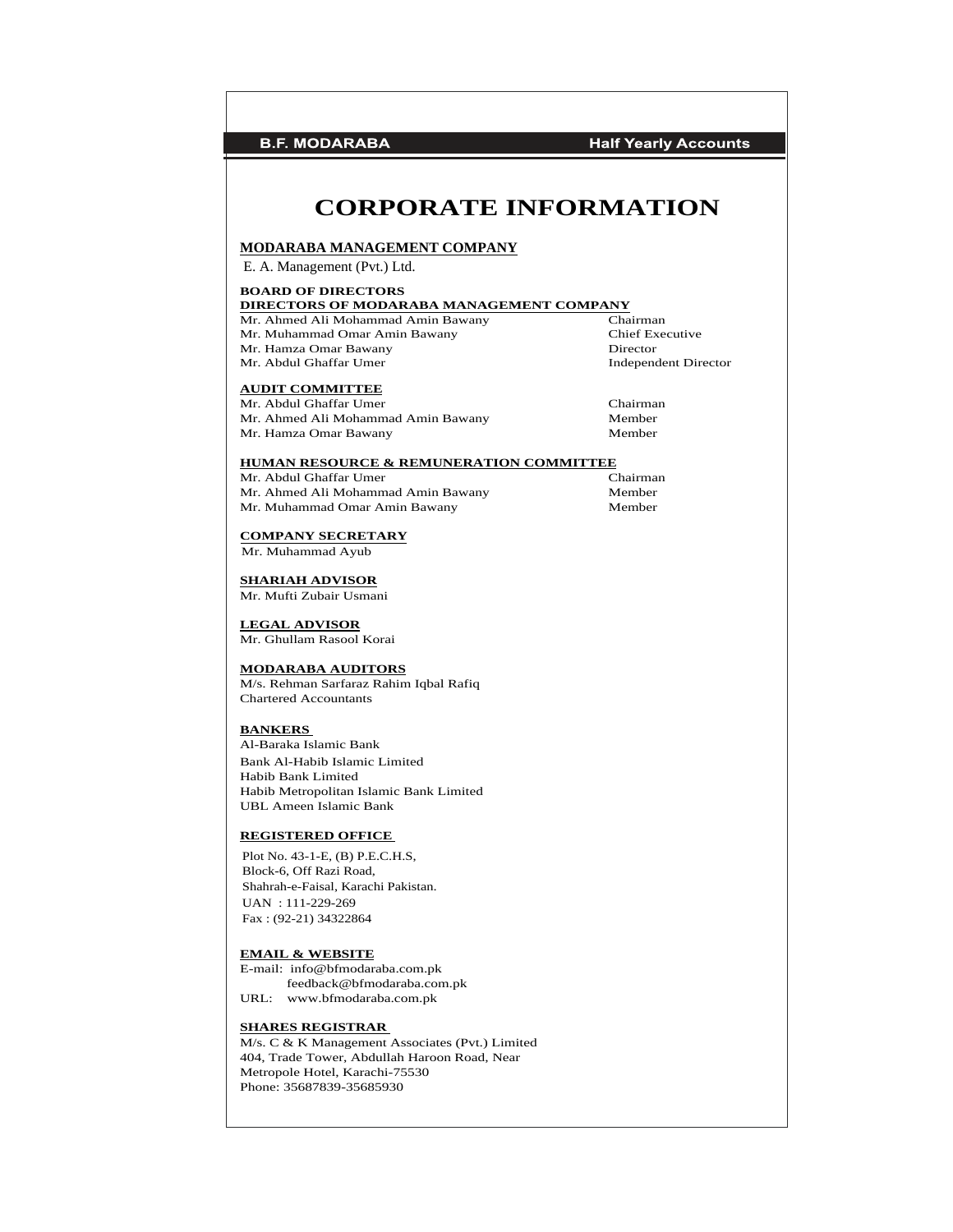**B.F. MODARABA Half Yearly Accounts CORPORATE INFORMATION MODARABA MANAGEMENT COMPANY<br>
E. A. Management (Pvt.) Ltd.<br>
BOARD OF DIRECTORS<br>
DIRECTORS OF MODARABA MANAGEMENT COMPANY<br>
Mr. Ahmed Ali Mohammad Amin Bawany Chairman<br>
Mr. Muhammad Omar Amin Bawany Chief Executive<br>
Chief Ex MODARABA MANAGEMENT COMPANY** MODARABA MANAGEMENT COMPANY<br>
E. A. Management (Pvt.) Ltd.<br> **BOARD OF DIRECTORS**<br>
DIRECTORS OF MODARABA MANAGEMENT COMPANY<br>
Mr. Ahmed Ali Mohammad Amin Bawany Chairman<br>
Mr. Muhammad Omar Amin Bawany Chief Executive<br>
Mr. Ham E. A. Management (Pvt.) Ltd.<br> **BOARD OF DIRECTORS**<br> **DIRECTORS OF MODARABA MANAGEMENT COMPANY**<br>
Mr. Ahmed Ali Mohammad Amin Bawany<br>
Mr. Muhammad Omar Amin Bawany<br>
Mr. Hamza Omar Bawany<br>
Mr. Abdul Ghaffar Umer<br>
Mr. Abdul Gh E. A. Management (Pvt.) Ltd. **BOARD OF DIRECTORS<br>
DIRECTORS OF MODARABA MANAGEMENT COMPANY**<br>
Mr. Ahmed Ali Mohammad Amin Bawany<br>
Mr. Muhammad Omar Amin Bawany<br>
Mr. Hamza Omar Bawany<br>
Mr. Abdul Ghaffar Umer<br>
Mr. Abdul Ghaffar Umer<br> **AUDIT COMMITTEE BOARD OF DIRECTORS DIRECTORS OF MODARABA MANAGEMENT COMPANY AUDIT COMMITTEE** Mr. Abdul Ghaffar Umer<br>
Mr. Ahmed Ali Mohammad Amin Bawany<br>
Member Mr. Ahmed Ali Mohammad Amin Bawany Mr. Hamza Omar Bawany Member **HUMAN RESOURCE & REMUNERATION COMMITTEE**<br>Mr. Abdul Ghaffar Umer<br>Chairman Mr. Abdul Ghaffar Umer Mr. Ahmed Ali Mohammad Amin Bawany Member<br>Mr. Muhammad Omar Amin Bawany Member Mr. Muhammad Omar Amin Bawany **COMPANY SECRETARY** Mr. Muhammad Ayub **SHARIAH ADVISOR** Mr. Mufti Zubair Usmani **LEGAL ADVISOR** Mr. Ghullam Rasool Korai **MODARABA AUDITORS** M/s. Rehman Sarfaraz Rahim Iqbal Rafiq Chartered Accountants **BANKERS** Al-Baraka Islamic Bank Bank Al-Habib Islamic Limited Habib Bank Limited Habib Metropolitan Islamic Bank Limited UBL Ameen Islamic Bank **REGISTERED OFFICE** Plot No. 43-1-E, (B) P.E.C.H.S, Block-6, Off Razi Road, Shahrah-e-Faisal, Karachi Pakistan. UAN : 111-229-269 Fax : (92-21) 34322864**EMAIL & WEBSITE** E-mail: info@bfmodaraba.com.pk feedback@bfmodaraba.com.pk URL: www.bfmodaraba.com.pk **SHARES REGISTRAR** M/s. C & K Management Associates (Pvt.) Limited 404, Trade Tower, Abdullah Haroon Road, Near Metropole Hotel, Karachi-75530 Phone: 35687839-35685930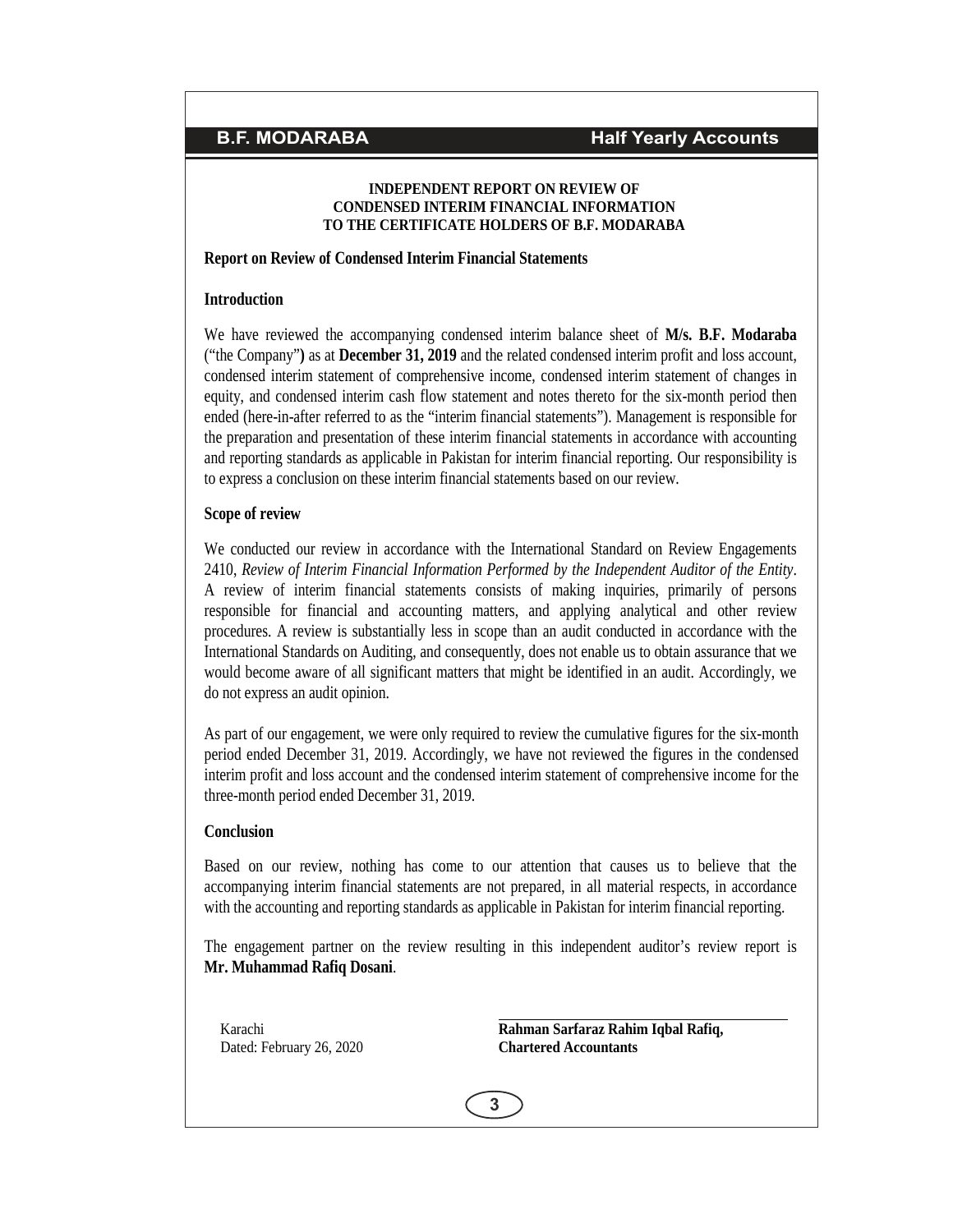## **INDEPENDENT REPORT ON REVIEW OF CONDENSED INTERIM FINANCIAL INFORMATION TO THE CERTIFICATE HOLDERS OF B.F. MODARABA**

# **Report on Review of Condensed Interim Financial Statements**

# **Introduction**

We have reviewed the accompanying condensed interim balance sheet of **M/s. B.F. Modaraba** ("the Company"**)** as at**December 31, 2019** and the related condensed interim profit and loss account, condensed interim statement of comprehensive income, condensed interim statement of changes in equity, and condensed interim cash flow statement and notes thereto for the six-month period then ended (here-in-after referred to as the "interim financial statements"). Management is responsible for the preparation and presentation of these interim financial statements in accordance with accounting and reporting standards as applicable in Pakistan for interim financial reporting. Our responsibility is to express a conclusion on these interim financial statements based on our review.

# **Scope of review**

We conducted our review in accordance with the International Standard on Review Engagements 2410, *Review of Interim Financial Information Performed by the Independent Auditor of the Entity*. A review of interim financial statements consists of making inquiries, primarily of persons responsible for financial and accounting matters, and applying analytical and other review procedures. A review is substantially less in scope than an audit conducted in accordance with the International Standards on Auditing, and consequently, does not enable us to obtain assurance that we would become aware of all significant matters that might be identified in an audit. Accordingly, we do not express an audit opinion.

As part of our engagement, we were only required to review the cumulative figures for the six-month period ended December 31, 2019. Accordingly, we have not reviewed the figures in the condensed interim profit and loss account and the condensed interim statement of comprehensive income for the three-month period ended December 31, 2019.

## **Conclusion**

Based on our review, nothing has come to our attention that causes us to believe that the accompanying interim financial statements are not prepared, in all material respects, in accordance with the accounting and reporting standards as applicable in Pakistan for interim financial reporting.

e engagement partner on the review resulting in this independent auditor's review re<br> **Rahman Sarfaraz Rahim Iqbal Rafiq,**<br>
Chartered Accountants<br>
Chartered Accountants The engagement partner on the review resulting in this independent auditor's review report is **Mr. Muhammad Rafiq Dosani**.

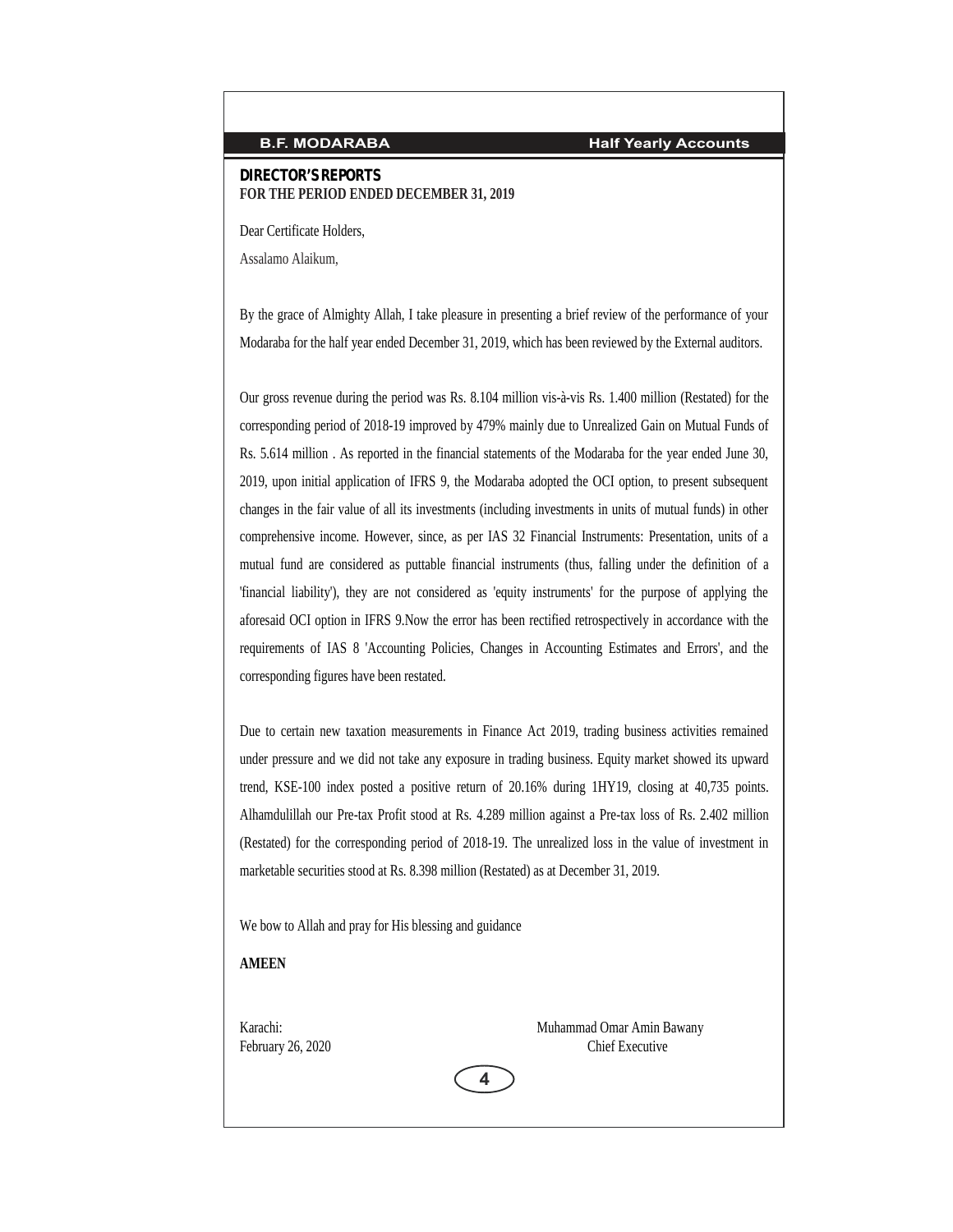**DIRECTOR'S REPORTS FOR THE PERIOD ENDED DECEMBER 31, 2019**

Dear Certificate Holders,

Assalamo Alaikum,

By the grace of Almighty Allah, I take pleasure in presenting a brief review of the performance of your Modaraba for the half year ended December 31, 2019, which has been reviewed by the External auditors.

Our gross revenue during the period was Rs.8.104 million vis-à-vis Rs.1.400 million (Restated) for the corresponding period of 2018-19 improved by 479% mainly due to Unrealized Gain on Mutual Funds of Rs. 5.614 million . As reported in the financial statements of the Modaraba for the year ended June 30, 2019, upon initial application of IFRS 9, the Modaraba adopted the OCI option, to present subsequent changes in the fair value of all its investments (including investments in units of mutual funds) in other comprehensive income. However, since, as per IAS 32 Financial Instruments: Presentation, units of a mutual fund are considered as puttable financial instruments (thus, falling under the definition of a 'financial liability'), they are not considered as 'equity instruments' for the purpose of applying the aforesaid OCI option in IFRS 9.Now the error has been rectified retrospectively in accordance with the requirements of IAS 8 'Accounting Policies, Changes in Accounting Estimates and Errors', and the corresponding figures have been restated.

Due to certain new taxation measurements in Finance Act 2019, trading business activities remained under pressure and we did not take any exposure in trading business. Equity market showed its upward trend, KSE-100 index posted a positive return of 20.16% during 1HY19, closing at 40,735 points. Alhamdulillah our Pre-tax Profit stood at Rs. 4.289 million against a Pre-tax loss of Rs. 2.402 million (Restated) for the corresponding period of 2018-19. The unrealized loss in the value of investment in marketable securities stood at Rs. 8.398 million (Restated) as at December 31, 2019.

We bow to Allah and pray for His blessing and guidance

**AMEEN**

Karachi: Muhammad Omar Amin Bawany AMEEN<br>
Karachi: Muhammad Omar Amin F<br>
February 26, 2020<br>
Chief Executive

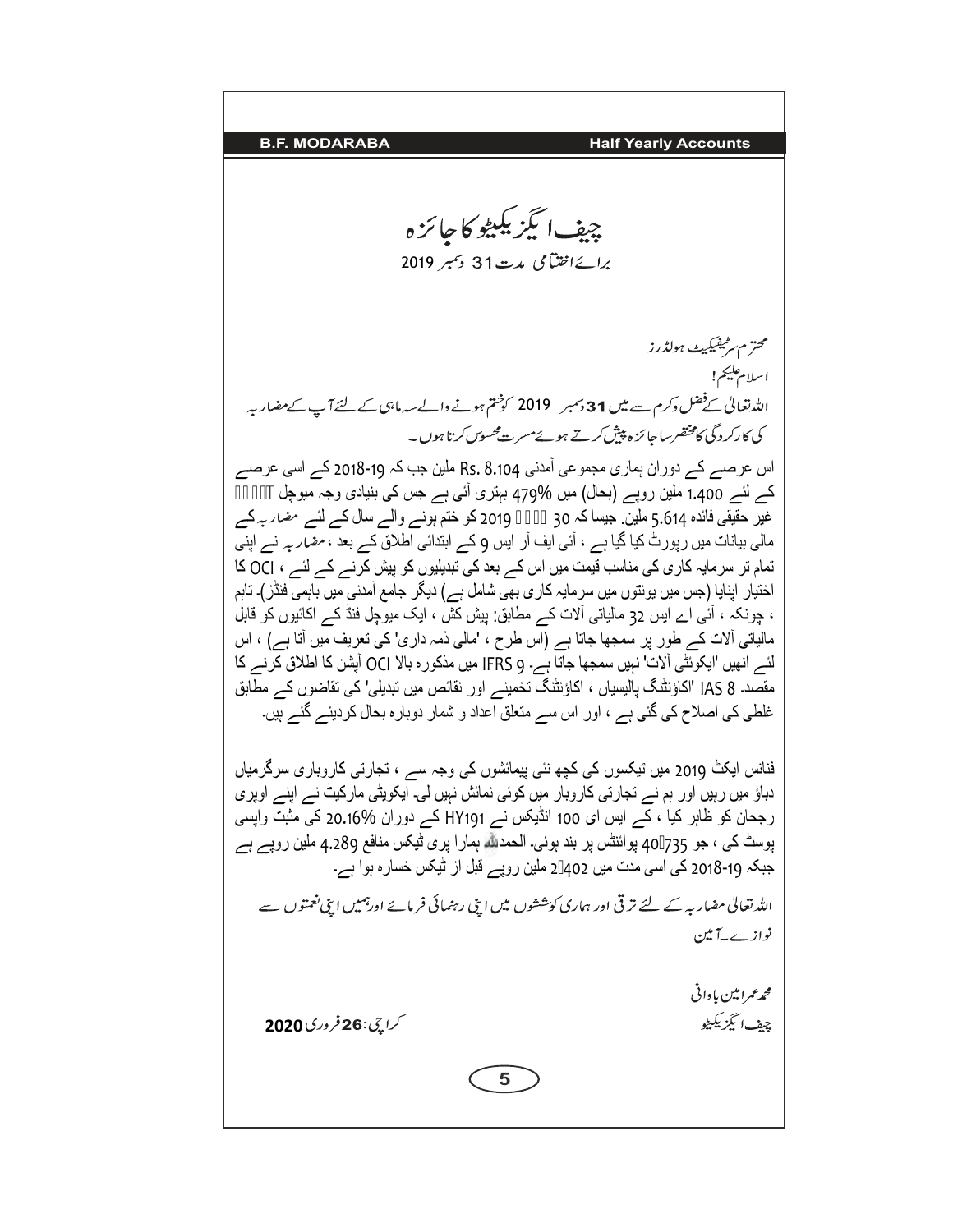**9. 18.5 MODARABA Half Yearly Accounts**  
\n**18.6 MODARABA 19.7**  
\n**19.** 
$$
2019 \times 5
$$
 **19.**  $2019 \times 5$  **19.**  $2019 \times 5$  **19.**  $2019 \times 5$  **19.**  $2019 \times 5$  **19.**  $2019 \times 5$  **19.**  $2019 \times 5$  **19.**  $2019 \times 5$  **19.**  $2019 \times 5$  **19.**  $2019 \times 5$  **19.**  $2019 \times 5$  **19.**  $2019 \times 5$  **19.**  $2019 \times 5$  **19.**  $2019 \times 5$  **19.**  $2019 \times 5$  **19.**  $2019 \times 5$  **19.**  $2019 \times 5$  **19.**  $2019 \times 5$  **19.**  $2018 \times 5$  **19.**  $2018 \times 5$  **19.**  $2018 \times 5$  **19.**  $2018 \times 5$  **19.**  $2018 \times 5$  **19.**  $2018 \times 5$  **19.**  $2018 \times 5$  **19.**  $2018 \times 5$  **19.**  $2018 \times 5$  **19.**  $2018 \times 5$  **19.**  $2018 \times 5$  **19.**  $2018 \times 5$  **19.**  $2018 \times 5$  **19.**  $2018 \times 5$  

<u> 1989 - Johann Barbara, martxa alemaniar a</u>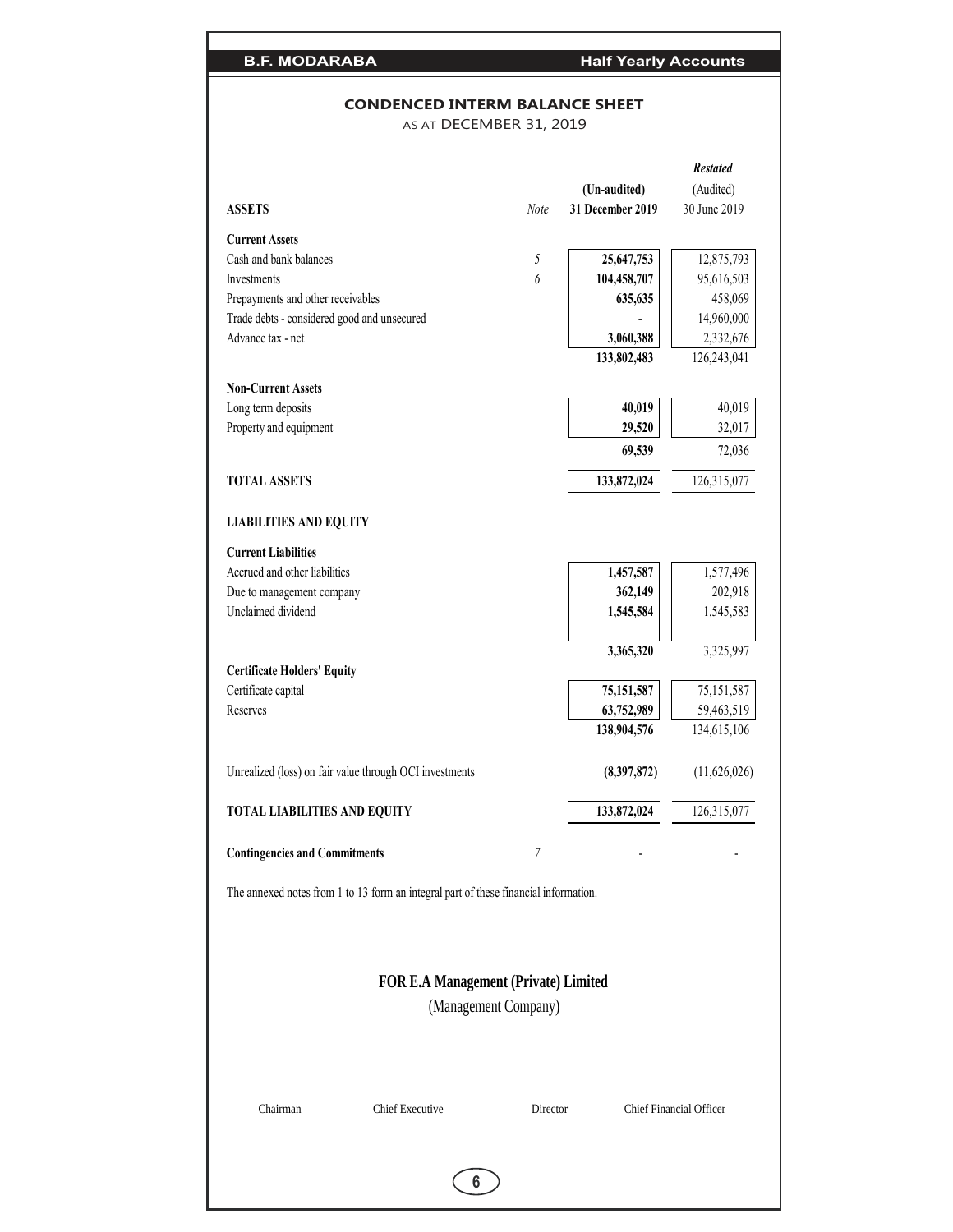# **CONDENCED INTERM BALANCE SHEET**

AS AT DECEMBER 31, 2019

|                                                                                      |                                             |          |                  | <b>Restated</b>         |
|--------------------------------------------------------------------------------------|---------------------------------------------|----------|------------------|-------------------------|
|                                                                                      |                                             |          | (Un-audited)     | (Audited)               |
| <b>ASSETS</b>                                                                        | Note                                        |          | 31 December 2019 | 30 June 2019            |
| <b>Current Assets</b>                                                                |                                             |          |                  |                         |
| Cash and bank balances                                                               | $\sqrt{2}$                                  |          | 25,647,753       | 12,875,793              |
| Investments                                                                          | 6                                           |          | 104,458,707      | 95,616,503              |
| Prepayments and other receivables                                                    |                                             |          | 635,635          | 458,069                 |
| Trade debts - considered good and unsecured                                          |                                             |          |                  | 14,960,000              |
| Advance tax - net                                                                    |                                             |          | 3,060,388        | 2,332,676               |
|                                                                                      |                                             |          | 133,802,483      | 126,243,041             |
|                                                                                      |                                             |          |                  |                         |
| <b>Non-Current Assets</b>                                                            |                                             |          |                  |                         |
| Long term deposits                                                                   |                                             |          | 40,019           | 40,019                  |
| Property and equipment                                                               |                                             |          | 29,520           | 32,017                  |
|                                                                                      |                                             |          | 69,539           | 72,036                  |
| <b>TOTAL ASSETS</b>                                                                  |                                             |          | 133,872,024      | 126,315,077             |
| <b>LIABILITIES AND EQUITY</b>                                                        |                                             |          |                  |                         |
|                                                                                      |                                             |          |                  |                         |
| <b>Current Liabilities</b>                                                           |                                             |          |                  |                         |
| Accrued and other liabilities                                                        |                                             |          | 1,457,587        | 1,577,496               |
| Due to management company                                                            |                                             |          | 362,149          | 202,918                 |
| Unclaimed dividend                                                                   |                                             |          | 1,545,584        | 1,545,583               |
|                                                                                      |                                             |          | 3,365,320        | 3,325,997               |
| <b>Certificate Holders' Equity</b>                                                   |                                             |          |                  |                         |
| Certificate capital                                                                  |                                             |          | 75,151,587       | 75,151,587              |
| Reserves                                                                             |                                             |          | 63,752,989       | 59,463,519              |
|                                                                                      |                                             |          | 138,904,576      | 134,615,106             |
| Unrealized (loss) on fair value through OCI investments                              |                                             |          | (8,397,872)      | (11,626,026)            |
| <b>TOTAL LIABILITIES AND EQUITY</b>                                                  |                                             |          | 133,872,024      | 126,315,077             |
| <b>Contingencies and Commitments</b>                                                 | 7                                           |          |                  |                         |
|                                                                                      |                                             |          |                  |                         |
| The annexed notes from 1 to 13 form an integral part of these financial information. |                                             |          |                  |                         |
|                                                                                      |                                             |          |                  |                         |
|                                                                                      | <b>FOR E.A Management (Private) Limited</b> |          |                  |                         |
|                                                                                      | (Management Company)                        |          |                  |                         |
|                                                                                      |                                             |          |                  |                         |
|                                                                                      |                                             |          |                  |                         |
|                                                                                      |                                             |          |                  |                         |
| Chief Executive<br>Chairman                                                          |                                             | Director |                  | Chief Financial Officer |
|                                                                                      |                                             |          |                  |                         |
|                                                                                      | 6                                           |          |                  |                         |
|                                                                                      |                                             |          |                  |                         |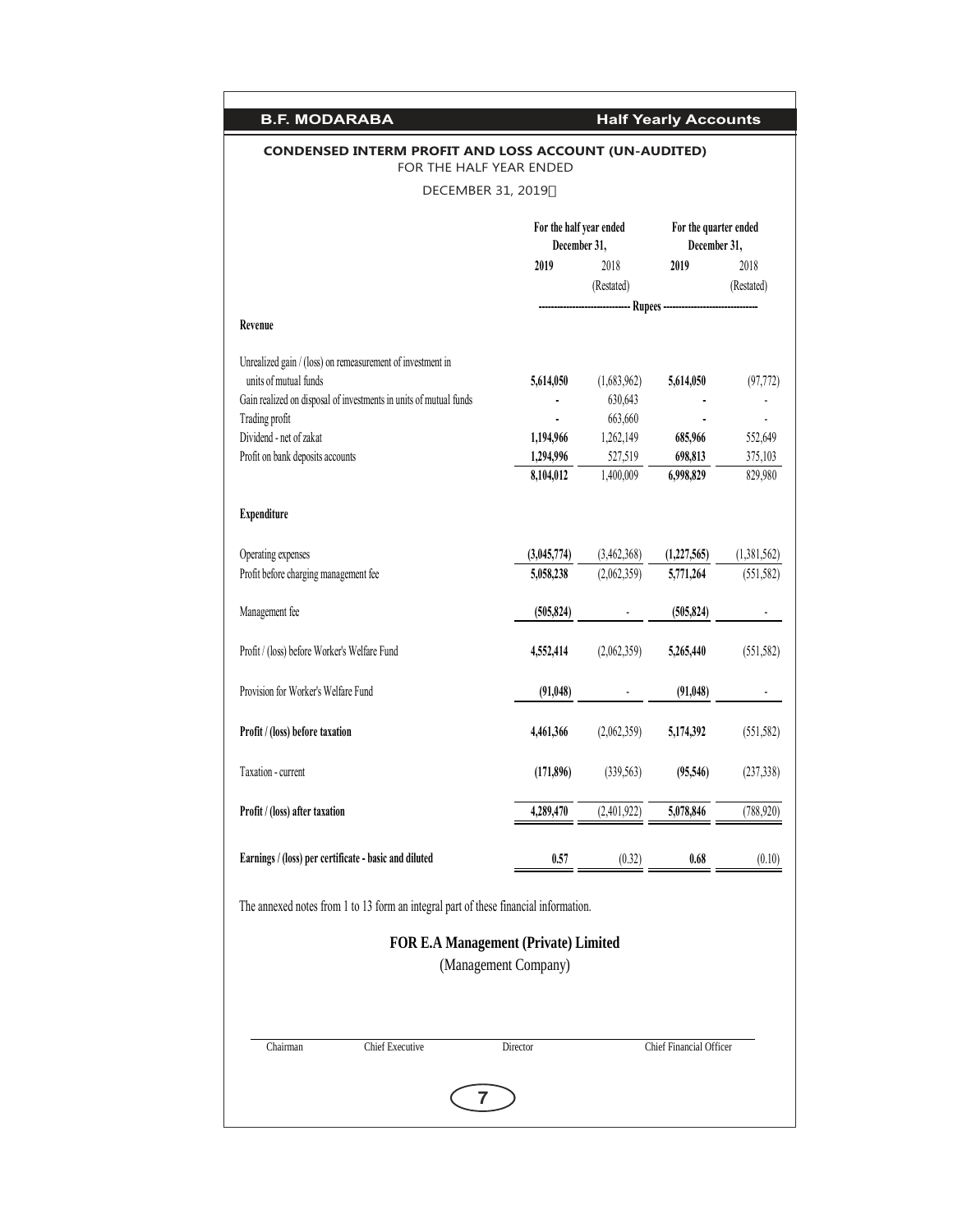| <b>B.F. MODARABA</b>                                                                    |                                                                  |                          | <b>Half Yearly Accounts</b> |             |  |
|-----------------------------------------------------------------------------------------|------------------------------------------------------------------|--------------------------|-----------------------------|-------------|--|
| <b>CONDENSED INTERM PROFIT AND LOSS ACCOUNT (UN-AUDITED)</b><br>FOR THE HALF YEAR ENDED |                                                                  |                          |                             |             |  |
| DECEMBER 31, 2019                                                                       |                                                                  |                          |                             |             |  |
|                                                                                         | For the half year ended<br>For the quarter ended<br>December 31, |                          |                             |             |  |
|                                                                                         | December 31,<br>2019<br>2018                                     |                          | 2019                        | 2018        |  |
|                                                                                         |                                                                  | (Restated)               |                             | (Restated)  |  |
| Revenue                                                                                 |                                                                  |                          |                             |             |  |
| Unrealized gain / (loss) on remeasurement of investment in                              |                                                                  |                          |                             |             |  |
| units of mutual funds                                                                   | 5,614,050                                                        | (1,683,962)              | 5,614,050                   | (97, 772)   |  |
| Gain realized on disposal of investments in units of mutual funds                       |                                                                  | 630,643                  |                             |             |  |
| Trading profit                                                                          |                                                                  | 663,660                  |                             |             |  |
| Dividend - net of zakat                                                                 | 1,194,966                                                        | 1,262,149                | 685,966                     | 552,649     |  |
| Profit on bank deposits accounts                                                        | 1,294,996                                                        | 527,519                  | 698,813                     | 375,103     |  |
|                                                                                         | 8,104,012                                                        | 1,400,009                | 6,998,829                   | 829,980     |  |
| <b>Expenditure</b>                                                                      |                                                                  |                          |                             |             |  |
| Operating expenses                                                                      | (3,045,774)                                                      | (3,462,368)              | (1,227,565)                 | (1,381,562) |  |
| Profit before charging management fee                                                   | 5,058,238                                                        | (2,062,359)              | 5,771,264                   | (551, 582)  |  |
| Management fee                                                                          | (505, 824)                                                       | $\overline{\phantom{a}}$ | (505, 824)                  |             |  |
| Profit / (loss) before Worker's Welfare Fund                                            | 4,552,414                                                        | (2,062,359)              | 5,265,440                   | (551, 582)  |  |
| Provision for Worker's Welfare Fund                                                     | (91, 048)                                                        |                          | (91, 048)                   |             |  |
| Profit / (loss) before taxation                                                         | 4,461,366                                                        | (2,062,359)              | 5,174,392                   | (551, 582)  |  |
|                                                                                         |                                                                  |                          |                             |             |  |
| Taxation - current                                                                      | (171, 896)                                                       | (339, 563)               | (95,546)                    | (237, 338)  |  |
| Profit / (loss) after taxation                                                          | 4,289,470                                                        | (2,401,922)              | 5,078,846                   | (788, 920)  |  |
| Earnings / (loss) per certificate - basic and diluted                                   | 0.57                                                             | (0.32)                   | 0.68                        | (0.10)      |  |
| The annexed notes from 1 to 13 form an integral part of these financial information.    |                                                                  |                          |                             |             |  |
| <b>FOR E.A Management (Private) Limited</b>                                             |                                                                  |                          |                             |             |  |
|                                                                                         | (Management Company)                                             |                          |                             |             |  |
|                                                                                         |                                                                  |                          |                             |             |  |
| Chief Executive<br>Chairman                                                             | Director                                                         |                          | Chief Financial Officer     |             |  |
|                                                                                         |                                                                  |                          |                             |             |  |
| 7                                                                                       |                                                                  |                          |                             |             |  |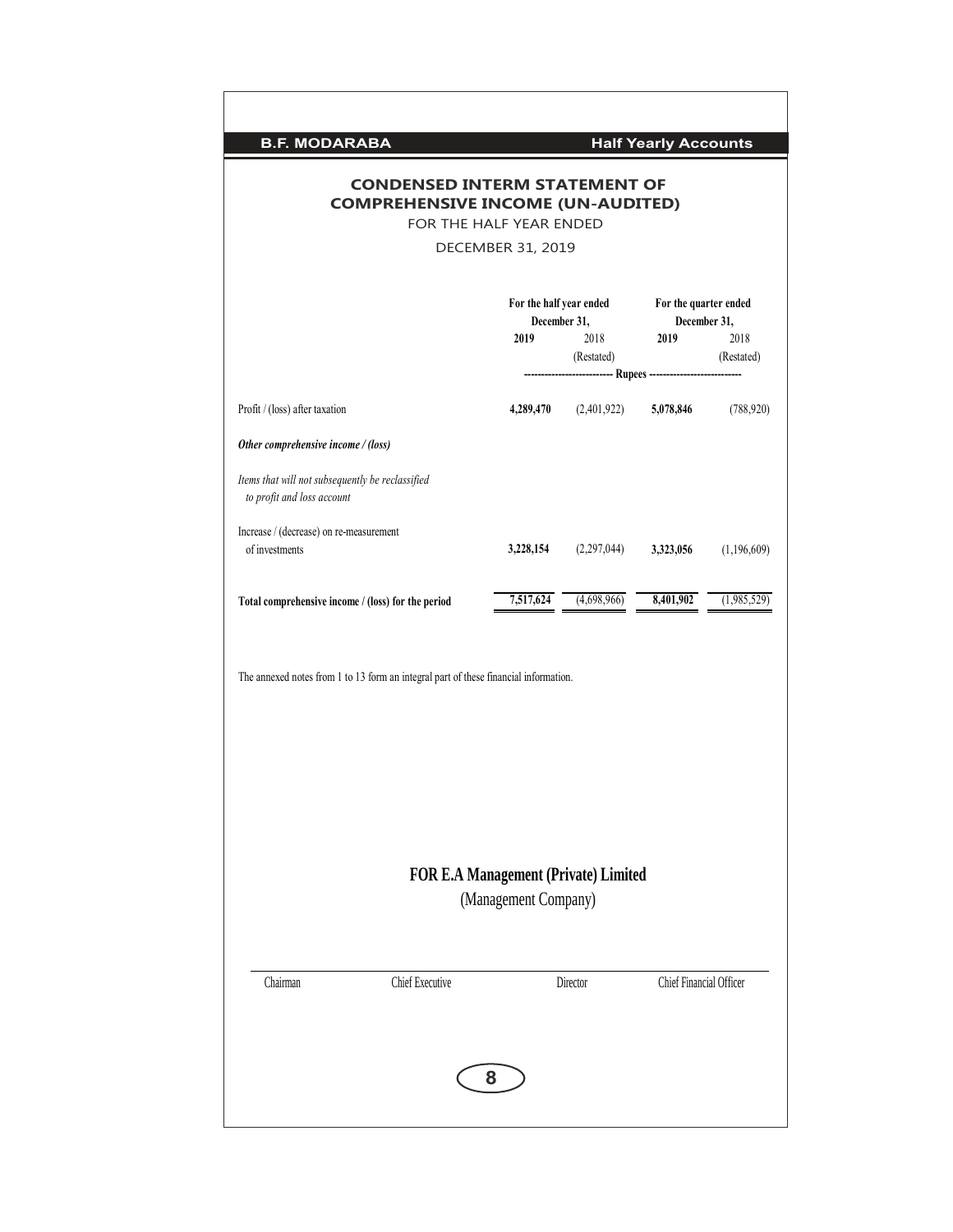| <b>B.F. MODARABA</b>                                                                 |                                         |                                                                    | <b>Half Yearly Accounts</b>           |                    |
|--------------------------------------------------------------------------------------|-----------------------------------------|--------------------------------------------------------------------|---------------------------------------|--------------------|
| <b>COMPREHENSIVE INCOME (UN-AUDITED)</b>                                             | <b>CONDENSED INTERM STATEMENT OF</b>    |                                                                    |                                       |                    |
|                                                                                      | FOR THE HALF YEAR ENDED                 |                                                                    |                                       |                    |
|                                                                                      | DECEMBER 31, 2019                       |                                                                    |                                       |                    |
|                                                                                      | For the half year ended<br>December 31, |                                                                    | For the quarter ended<br>December 31, |                    |
|                                                                                      | 2019                                    | 2018<br>(Restated)<br>--------------- Rupees --------------------- | 2019                                  | 2018<br>(Restated) |
| Profit / (loss) after taxation                                                       |                                         | 4,289,470 (2,401,922)                                              | 5,078,846                             | (788, 920)         |
| Other comprehensive income / (loss)                                                  |                                         |                                                                    |                                       |                    |
| Items that will not subsequently be reclassified<br>to profit and loss account       |                                         |                                                                    |                                       |                    |
| Increase / (decrease) on re-measurement<br>of investments                            | 3,228,154                               | (2,297,044)                                                        | 3,323,056                             | (1,196,609)        |
| Total comprehensive income / (loss) for the period                                   | 7,517,624                               | (4,698,966)                                                        | 8,401,902                             | (1,985,529)        |
| The annexed notes from 1 to 13 form an integral part of these financial information. | FOR E.A Management (Private) Limited    |                                                                    |                                       |                    |
|                                                                                      | (Management Company)                    |                                                                    |                                       |                    |
|                                                                                      |                                         |                                                                    |                                       |                    |
| Chairman<br>Chief Executive                                                          |                                         | Director                                                           | Chief Financial Officer               |                    |
|                                                                                      |                                         |                                                                    |                                       |                    |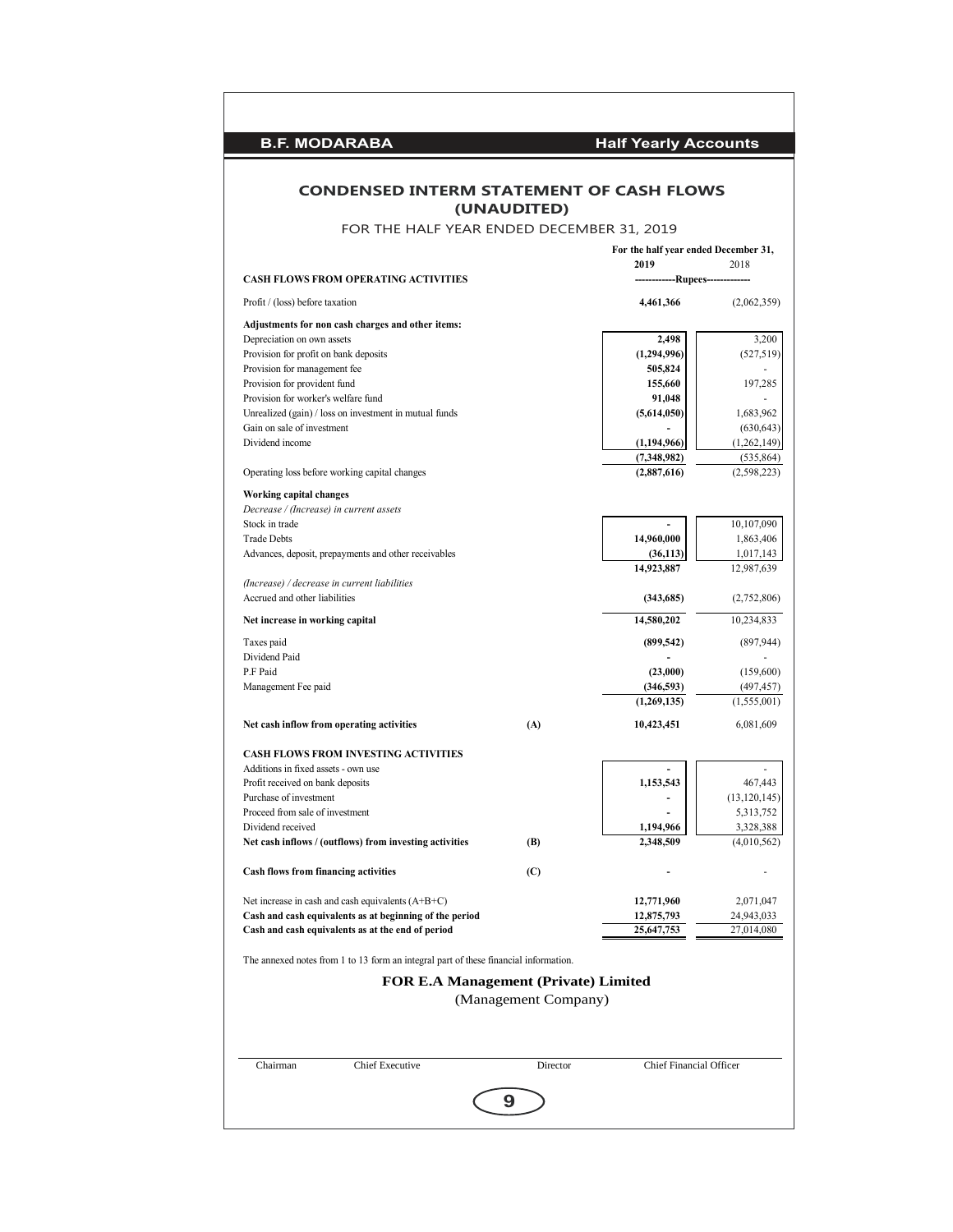| <b>CONDENSED INTERM STATEMENT OF CASH FLOWS</b>                                                                | (UNAUDITED)          |                                      |                           |
|----------------------------------------------------------------------------------------------------------------|----------------------|--------------------------------------|---------------------------|
| FOR THE HALF YEAR ENDED DECEMBER 31, 2019                                                                      |                      |                                      |                           |
|                                                                                                                |                      | For the half year ended December 31, |                           |
| <b>CASH FLOWS FROM OPERATING ACTIVITIES</b>                                                                    |                      | 2019<br>-------------Rupees------    | 2018                      |
|                                                                                                                |                      |                                      |                           |
| Profit / (loss) before taxation                                                                                |                      | 4,461,366                            | (2,062,359)               |
| Adjustments for non cash charges and other items:<br>Depreciation on own assets                                |                      | 2,498                                | 3,200                     |
| Provision for profit on bank deposits                                                                          |                      | (1,294,996)                          | (527, 519)                |
| Provision for management fee                                                                                   |                      | 505,824                              |                           |
| Provision for provident fund                                                                                   |                      | 155,660                              | 197,285                   |
| Provision for worker's welfare fund                                                                            |                      | 91,048                               |                           |
| Unrealized (gain) / loss on investment in mutual funds<br>Gain on sale of investment                           |                      | (5,614,050)                          | 1,683,962<br>(630, 643)   |
| Dividend income                                                                                                |                      | (1,194,966)                          | (1, 262, 149)             |
|                                                                                                                |                      | (7,348,982)                          | (535, 864)                |
| Operating loss before working capital changes                                                                  |                      | (2,887,616)                          | (2,598,223)               |
| Working capital changes                                                                                        |                      |                                      |                           |
| Decrease / (Increase) in current assets                                                                        |                      |                                      |                           |
| Stock in trade<br><b>Trade Debts</b>                                                                           |                      | $\overline{a}$                       | 10,107,090                |
| Advances, deposit, prepayments and other receivables                                                           |                      | 14,960,000<br>(36, 113)              | 1,863,406<br>1,017,143    |
|                                                                                                                |                      | 14,923,887                           | 12,987,639                |
| (Increase) / decrease in current liabilities<br>Accrued and other liabilities                                  |                      | (343,685)                            | (2,752,806)               |
| Net increase in working capital                                                                                |                      | 14,580,202                           | 10,234,833                |
|                                                                                                                |                      |                                      |                           |
| Taxes paid<br>Dividend Paid                                                                                    |                      | (899, 542)                           | (897,944)                 |
| P.F Paid                                                                                                       |                      | (23,000)                             | (159,600)                 |
| Management Fee paid                                                                                            |                      | (346, 593)                           | (497,457)                 |
|                                                                                                                |                      | (1,269,135)                          | (1, 555, 001)             |
| Net cash inflow from operating activities                                                                      | (A)                  | 10,423,451                           | 6,081,609                 |
| CASH FLOWS FROM INVESTING ACTIVITIES                                                                           |                      |                                      |                           |
| Additions in fixed assets - own use                                                                            |                      |                                      |                           |
| Profit received on bank deposits<br>Purchase of investment                                                     |                      | 1,153,543                            | 467,443<br>(13, 120, 145) |
| Proceed from sale of investment                                                                                |                      |                                      | 5,313,752                 |
| Dividend received                                                                                              |                      | 1,194,966                            | 3,328,388                 |
| Net cash inflows / (outflows) from investing activities                                                        | (B)                  | 2,348,509                            | (4,010,562)               |
| <b>Cash flows from financing activities</b>                                                                    | (C)                  |                                      |                           |
|                                                                                                                |                      |                                      |                           |
| Net increase in cash and cash equivalents $(A+B+C)$<br>Cash and cash equivalents as at beginning of the period |                      | 12,771,960<br>12,875,793             | 2,071,047<br>24,943,033   |
| Cash and cash equivalents as at the end of period                                                              |                      | 25,647,753                           | 27,014,080                |
| The annexed notes from 1 to 13 form an integral part of these financial information.                           |                      |                                      |                           |
| <b>FOR E.A Management (Private) Limited</b>                                                                    |                      |                                      |                           |
|                                                                                                                | (Management Company) |                                      |                           |
|                                                                                                                |                      |                                      |                           |
| Chief Executive<br>Chairman                                                                                    | Director             | <b>Chief Financial Officer</b>       |                           |
|                                                                                                                |                      |                                      |                           |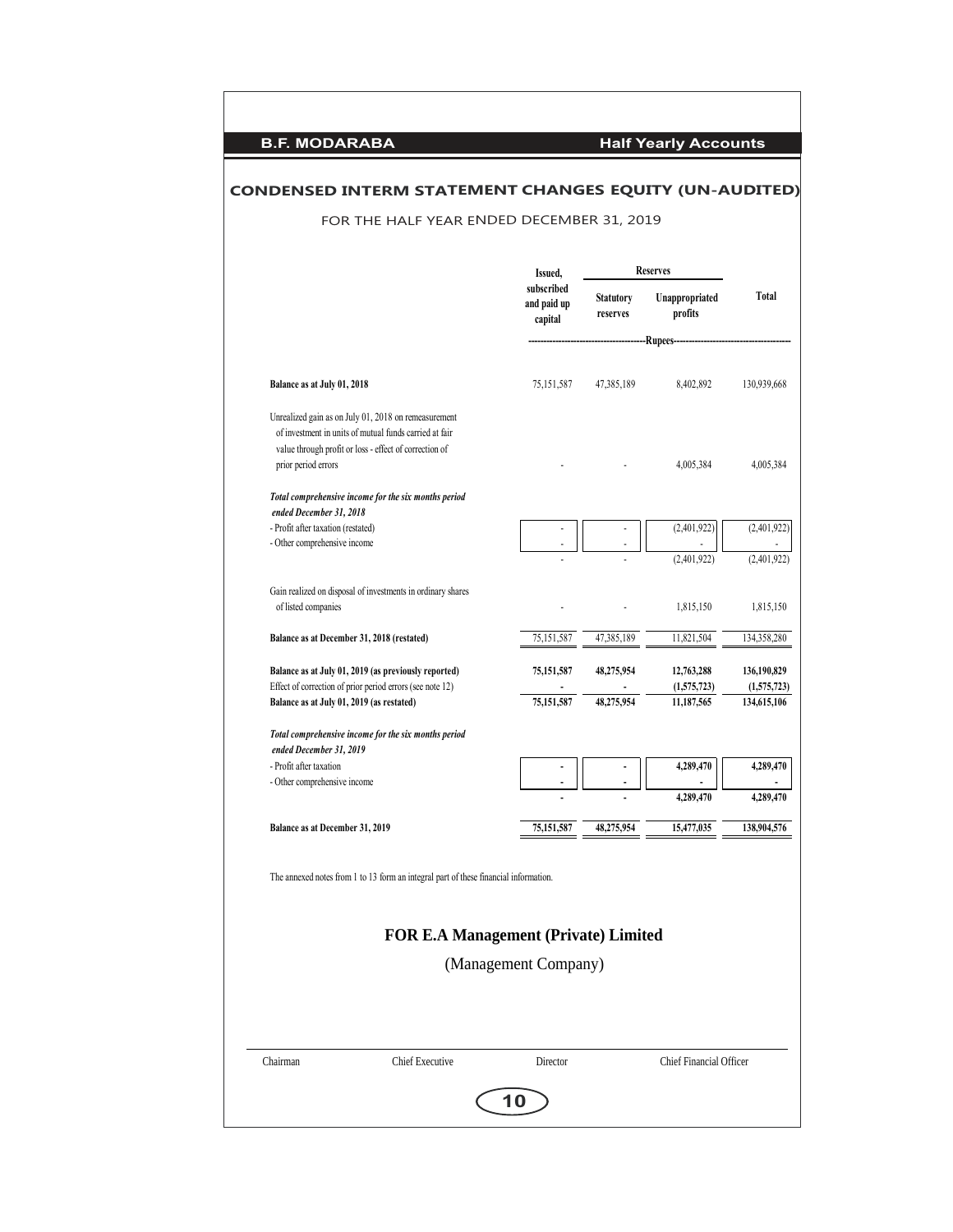|                                                               | FOR THE HALF YEAR ENDED DECEMBER 31, 2019                                                                                                                                |                                      |                              |                                       |                            |
|---------------------------------------------------------------|--------------------------------------------------------------------------------------------------------------------------------------------------------------------------|--------------------------------------|------------------------------|---------------------------------------|----------------------------|
|                                                               |                                                                                                                                                                          | Issued,                              |                              | <b>Reserves</b>                       |                            |
|                                                               |                                                                                                                                                                          | subscribed<br>and paid up<br>capital | <b>Statutory</b><br>reserves | Unappropriated<br>profits<br>-Rupees- | <b>Total</b>               |
| Balance as at July 01, 2018                                   |                                                                                                                                                                          | 75,151,587                           | 47,385,189                   | 8,402,892                             | 130,939,668                |
|                                                               | Unrealized gain as on July 01, 2018 on remeasurement<br>of investment in units of mutual funds carried at fair<br>value through profit or loss - effect of correction of |                                      |                              |                                       |                            |
| prior period errors                                           | Total comprehensive income for the six months period                                                                                                                     |                                      |                              | 4,005,384                             | 4,005,384                  |
| ended December 31, 2018<br>- Profit after taxation (restated) |                                                                                                                                                                          |                                      |                              |                                       | (2,401,922)                |
| - Other comprehensive income                                  |                                                                                                                                                                          |                                      |                              | (2,401,922)                           |                            |
| of listed companies                                           | Gain realized on disposal of investments in ordinary shares                                                                                                              |                                      |                              | (2,401,922)<br>1,815,150              | (2,401,922)<br>1,815,150   |
| Balance as at December 31, 2018 (restated)                    |                                                                                                                                                                          | 75,151,587                           | 47,385,189                   | 11,821,504                            | 134,358,280                |
|                                                               | Balance as at July 01, 2019 (as previously reported)                                                                                                                     | 75,151,587                           | 48,275,954                   | 12,763,288                            | 136,190,829                |
| Balance as at July 01, 2019 (as restated)                     | Effect of correction of prior period errors (see note 12)                                                                                                                | 75,151,587                           | 48,275,954                   | (1,575,723)<br>11,187,565             | (1,575,723)<br>134,615,106 |
| ended December 31, 2019                                       | Total comprehensive income for the six months period                                                                                                                     |                                      |                              |                                       |                            |
| - Profit after taxation<br>- Other comprehensive income       |                                                                                                                                                                          |                                      |                              | 4,289,470                             | 4,289,470                  |
|                                                               |                                                                                                                                                                          |                                      |                              | 4,289,470                             | 4,289,470                  |
| Balance as at December 31, 2019                               |                                                                                                                                                                          | 75,151,587                           | 48,275,954                   | 15,477,035                            | 138,904,576                |
|                                                               | The annexed notes from 1 to 13 form an integral part of these financial information.<br><b>FOR E.A Management (Private) Limited</b>                                      | (Management Company)                 |                              |                                       |                            |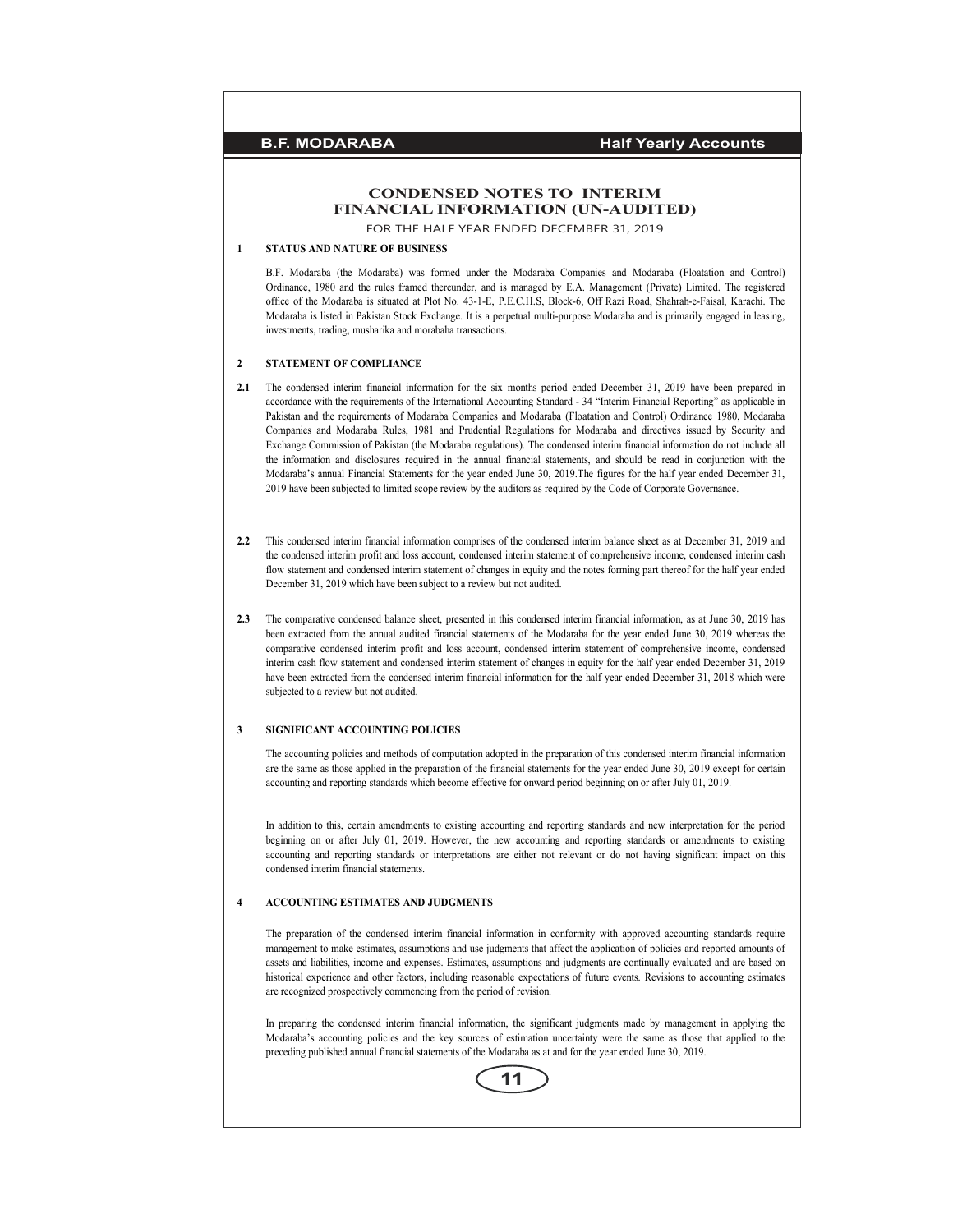## **CONDENSED NOTES TO INTERIM FINANCIAL INFORMATION (UN-AUDITED)**

FOR THE HALF YEAR ENDED DECEMBER 31, 2019

## **1 STATUS AND NATURE OF BUSINESS**

B.F. Modaraba (the Modaraba) was formed under the Modaraba Companies and Modaraba (Floatation and Control) Ordinance, 1980 and the rules framed thereunder, and is managed by E.A. Management (Private) Limited. The registered office of the Modaraba is situated at Plot No. 43-1-E, P.E.C.H.S, Block-6, Off Razi Road, Shahrah-e-Faisal, Karachi. The Modaraba is listed in Pakistan Stock Exchange. It is a perpetual multi-purpose Modaraba and is primarily engaged in leasing, investments, trading, musharika and morabaha transactions.

#### **2 STATEMENT OF COMPLIANCE**

- **2.1** The condensed interim financial information for the six months period ended December 31, 2019 have been prepared in accordance with the requirements of the International Accounting Standard - 34 "Interim Financial Reporting" as applicable in Pakistan and the requirements of Modaraba Companies and Modaraba (Floatation and Control) Ordinance 1980, Modaraba Companies and Modaraba Rules, 1981 and Prudential Regulations for Modaraba and directives issued by Security and Exchange Commission of Pakistan (the Modaraba regulations). The condensed interim financial information do not include all the information and disclosures required in the annual financial statements, and should be read in conjunction with the Modaraba's annual Financial Statements for the year ended June 30, 2019.The figures for the half year ended December 31, 2019 have been subjected to limited scope review by the auditors as required by the Code of Corporate Governance.
- **2.2** This condensed interim financial information comprises of the condensed interim balance sheet as at December 31, 2019 and the condensed interim profit and loss account, condensed interim statement of comprehensive income, condensed interim cash flow statement and condensed interim statement of changes in equity and the notes forming part thereof for the half year ended December 31, 2019 which have been subject to a review but not audited.
- **2.3** The comparative condensed balance sheet, presented in this condensed interim financial information, as at June 30, 2019 has been extracted from the annual audited financial statements of the Modaraba for the year ended June 30, 2019 whereas the comparative condensed interim profit and loss account, condensed interim statement of comprehensive income, condensed interim cash flow statement and condensed interim statement of changes in equity for the half year ended December 31, 2019 have been extracted from the condensed interim financial information for the half year ended December 31, 2018 which were subjected to a review but not audited.

#### **3 SIGNIFICANT ACCOUNTING POLICIES**

The accounting policies and methods of computation adopted in the preparation of this condensed interim financial information are the same as those applied in the preparation of the financial statements for the year ended June 30, 2019 except for certain accounting and reporting standards which become effective for onward period beginning on or after July 01, 2019.

In addition to this, certain amendments to existing accounting and reporting standards and new interpretation for the period beginning on or after July 01, 2019. However, the new accounting and reporting standards or amendments to existing accounting and reporting standards or interpretations are either not relevant or do not having significant impact on this condensed interim financial statements.

#### **4 ACCOUNTING ESTIMATES AND JUDGMENTS**

The preparation of the condensed interim financial information in conformity with approved accounting standards require management to make estimates, assumptions and use judgments that affect the application of policies and reported amounts of assets and liabilities, income and expenses. Estimates, assumptions and judgments are continually evaluated and are based on historical experience and other factors, including reasonable expectations of future events. Revisions to accounting estimates are recognized prospectively commencing from the period of revision.

In preparing the condensed interim financial information, the significant judgments made by management in applying the Modaraba's accounting policies and the key sources of estimation uncertainty were the same as those that applied to the preceding published annual financial statements of the Modaraba as at and for the year ended June 30, 2019.

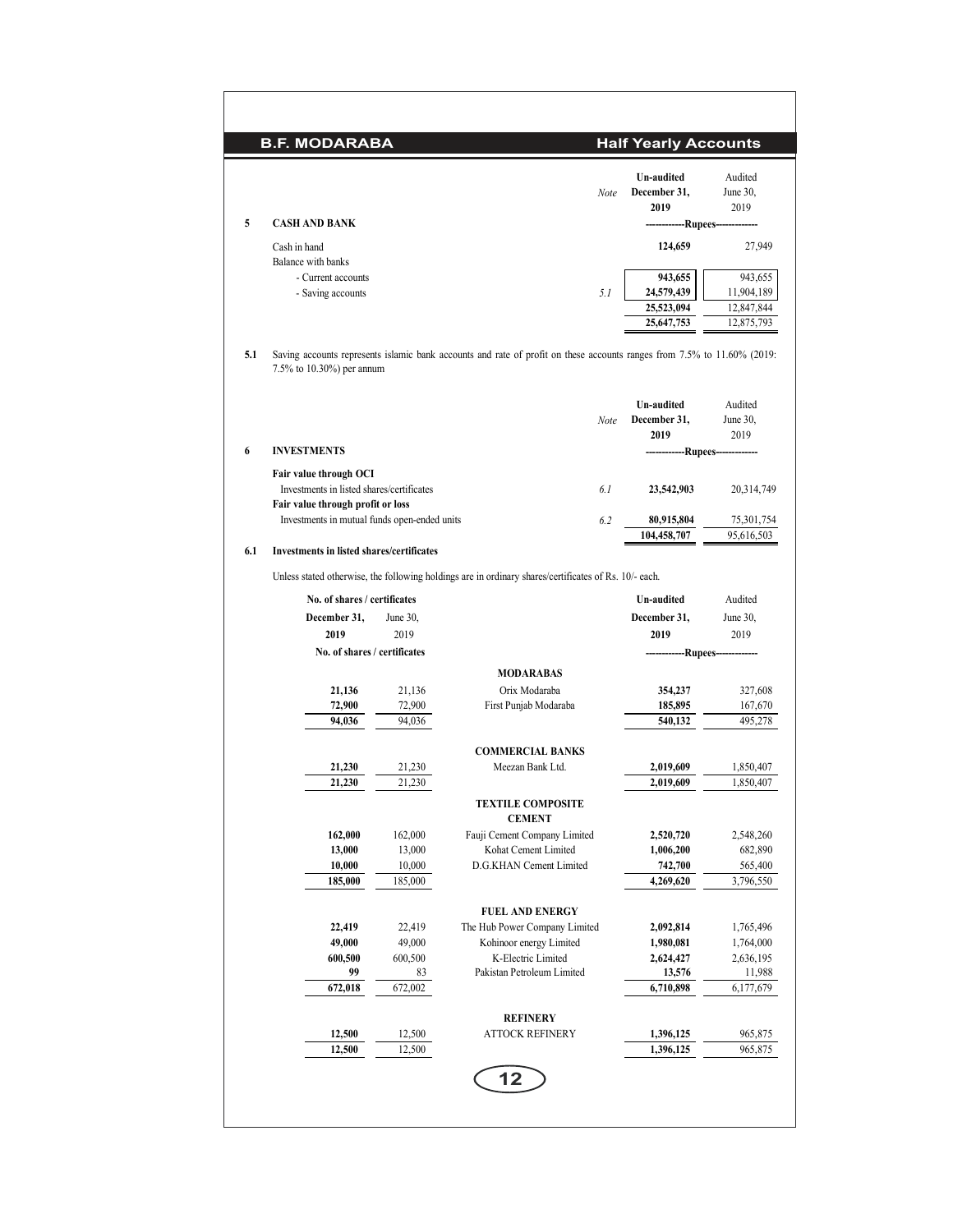|     | <b>B.F. MODARABA</b>                                                                                     |                   |                                                                                                                         |      | <b>Half Yearly Accounts</b>               |                             |
|-----|----------------------------------------------------------------------------------------------------------|-------------------|-------------------------------------------------------------------------------------------------------------------------|------|-------------------------------------------|-----------------------------|
| 5   | <b>CASH AND BANK</b>                                                                                     |                   |                                                                                                                         | Note | <b>Un-audited</b><br>December 31,<br>2019 | Audited<br>June 30,<br>2019 |
|     |                                                                                                          |                   |                                                                                                                         |      | ---Rupees--                               |                             |
|     | Cash in hand<br>Balance with banks                                                                       |                   |                                                                                                                         |      | 124,659                                   | 27,949                      |
|     | - Current accounts                                                                                       |                   |                                                                                                                         |      | 943,655                                   | 943,655                     |
|     | - Saving accounts                                                                                        |                   |                                                                                                                         | 5.1  | 24,579,439                                | 11,904,189                  |
|     |                                                                                                          |                   |                                                                                                                         |      | 25,523,094                                | 12,847,844                  |
|     |                                                                                                          |                   |                                                                                                                         |      | 25,647,753                                | 12,875,793                  |
| 5.1 | 7.5% to 10.30%) per annum                                                                                |                   | Saving accounts represents islamic bank accounts and rate of profit on these accounts ranges from 7.5% to 11.60% (2019: |      |                                           |                             |
|     |                                                                                                          |                   |                                                                                                                         |      | Un-audited                                | Audited                     |
|     |                                                                                                          |                   |                                                                                                                         | Note | December 31,                              | June 30,                    |
| 6   | <b>INVESTMENTS</b>                                                                                       |                   |                                                                                                                         |      | 2019                                      | 2019                        |
|     |                                                                                                          |                   |                                                                                                                         |      | -------------Rupees--                     |                             |
|     | Fair value through OCI<br>Investments in listed shares/certificates<br>Fair value through profit or loss |                   |                                                                                                                         | 6.1  | 23,542,903                                | 20,314,749                  |
|     | Investments in mutual funds open-ended units                                                             |                   |                                                                                                                         | 6.2  | 80,915,804                                | 75,301,754                  |
| 6.1 | Investments in listed shares/certificates                                                                |                   |                                                                                                                         |      | 104,458,707                               | 95,616,503                  |
|     |                                                                                                          |                   | Unless stated otherwise, the following holdings are in ordinary shares/certificates of Rs. 10/- each.                   |      |                                           |                             |
|     | No. of shares / certificates                                                                             |                   |                                                                                                                         |      | Un-audited                                | Audited                     |
|     | December 31,                                                                                             | June 30,          |                                                                                                                         |      | December 31,                              | June 30,                    |
|     | 2019                                                                                                     | 2019              |                                                                                                                         |      | 2019                                      | 2019                        |
|     | No. of shares / certificates                                                                             |                   |                                                                                                                         |      | ------------Rupees-------------           |                             |
|     |                                                                                                          |                   | <b>MODARABAS</b>                                                                                                        |      |                                           |                             |
|     | 21,136<br>72,900                                                                                         | 21,136<br>72,900  | Orix Modaraba<br>First Punjab Modaraba                                                                                  |      | 354,237<br>185,895                        | 327,608<br>167,670          |
|     | 94,036                                                                                                   | 94,036            |                                                                                                                         |      | 540,132                                   | 495,278                     |
|     |                                                                                                          |                   |                                                                                                                         |      |                                           |                             |
|     | 21,230                                                                                                   | 21,230            | <b>COMMERCIAL BANKS</b><br>Meezan Bank Ltd.                                                                             |      | 2,019,609                                 | 1,850,407                   |
|     | 21,230                                                                                                   | 21,230            |                                                                                                                         |      | 2,019,609                                 | 1,850,407                   |
|     |                                                                                                          |                   | <b>TEXTILE COMPOSITE</b><br><b>CEMENT</b>                                                                               |      |                                           |                             |
|     | 162,000                                                                                                  | 162,000           | Fauji Cement Company Limited                                                                                            |      | 2,520,720                                 | 2,548,260                   |
|     | 13,000                                                                                                   | 13,000            | Kohat Cement Limited                                                                                                    |      | 1,006,200                                 | 682,890                     |
|     | 10,000<br>185,000                                                                                        | 10,000<br>185,000 | D.G.KHAN Cement Limited                                                                                                 |      | 742,700<br>4,269,620                      | 565,400<br>3,796,550        |
|     |                                                                                                          |                   |                                                                                                                         |      |                                           |                             |
|     |                                                                                                          |                   | <b>FUEL AND ENERGY</b><br>The Hub Power Company Limited                                                                 |      |                                           |                             |
|     | 22,419<br>49,000                                                                                         | 22,419<br>49,000  | Kohinoor energy Limited                                                                                                 |      | 2,092,814<br>1,980,081                    | 1,765,496<br>1,764,000      |
|     | 600,500                                                                                                  | 600,500           | K-Electric Limited                                                                                                      |      | 2,624,427                                 | 2,636,195                   |
|     | 99                                                                                                       | 83                | Pakistan Petroleum Limited                                                                                              |      | 13,576                                    | 11,988                      |
|     | 672,018                                                                                                  | 672,002           |                                                                                                                         |      | 6,710,898                                 | 6,177,679                   |
|     |                                                                                                          |                   | <b>REFINERY</b>                                                                                                         |      |                                           |                             |
|     | 12,500                                                                                                   | 12,500            | <b>ATTOCK REFINERY</b>                                                                                                  |      | 1,396,125                                 | 965,875                     |
|     | 12,500                                                                                                   | 12,500            |                                                                                                                         |      | 1,396,125                                 | 965,875                     |
|     |                                                                                                          |                   | 12                                                                                                                      |      |                                           |                             |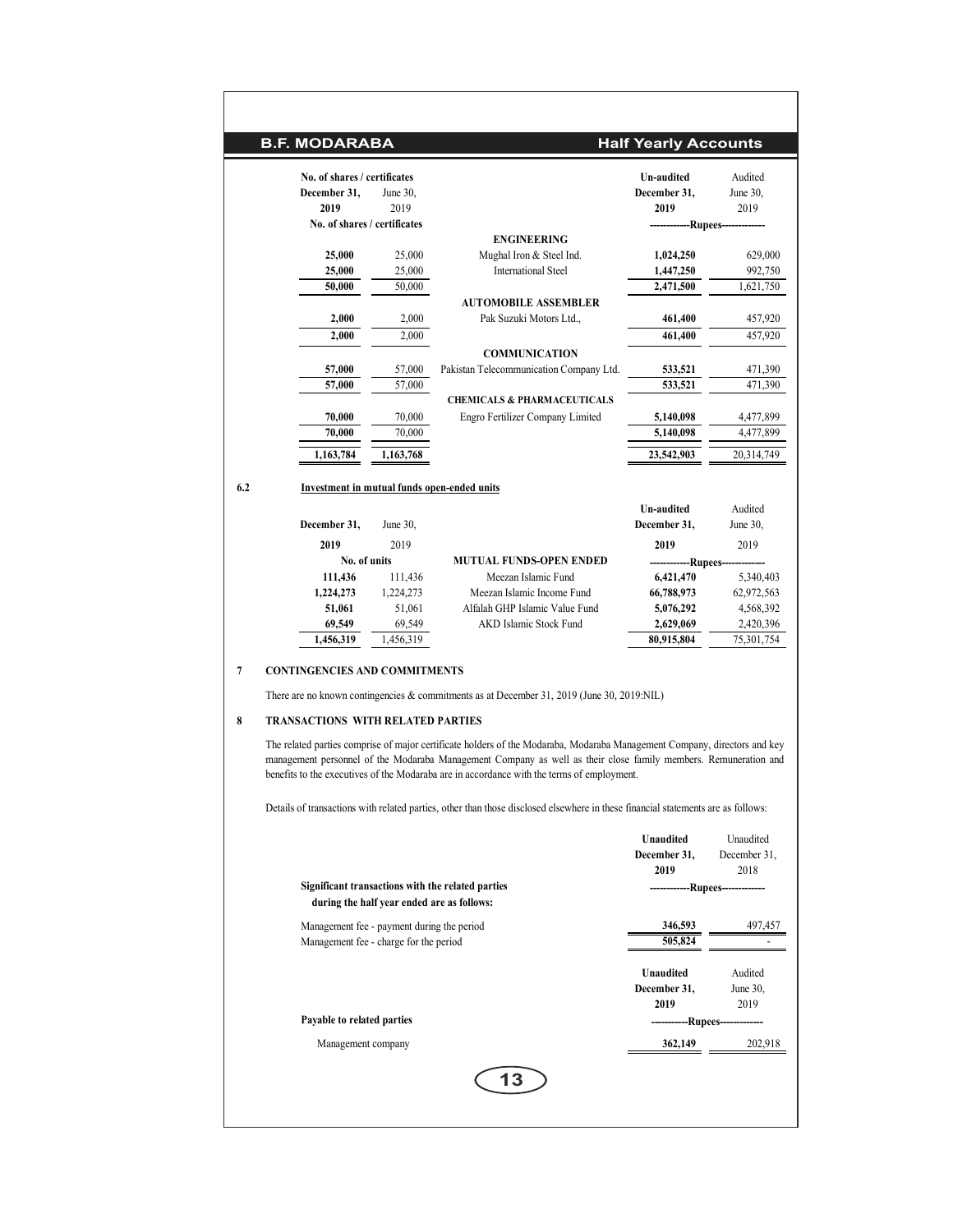|     | <b>B.F. MODARABA</b>                        |           |                                         | <b>Half Yearly Accounts</b> |            |
|-----|---------------------------------------------|-----------|-----------------------------------------|-----------------------------|------------|
|     | No. of shares / certificates                |           |                                         | <b>Un-audited</b>           | Audited    |
|     | December 31,                                | June 30,  |                                         | December 31,                | June 30,   |
|     | 2019                                        | 2019      |                                         | 2019                        | 2019       |
|     | No. of shares / certificates                |           |                                         | --Rupees---                 |            |
|     |                                             |           | <b>ENGINEERING</b>                      |                             |            |
|     | 25,000                                      | 25,000    | Mughal Iron & Steel Ind.                | 1,024,250                   | 629,000    |
|     | 25,000                                      | 25,000    | <b>International Steel</b>              | 1,447,250                   | 992,750    |
|     | 50,000                                      | 50,000    |                                         | 2,471,500                   | 1,621,750  |
|     |                                             |           | <b>AUTOMOBILE ASSEMBLER</b>             |                             |            |
|     | 2,000                                       | 2,000     | Pak Suzuki Motors Ltd.,                 | 461,400                     | 457,920    |
|     | 2,000                                       | 2,000     |                                         | 461,400                     | 457,920    |
|     |                                             |           | <b>COMMUNICATION</b>                    |                             |            |
|     | 57,000                                      | 57,000    | Pakistan Telecommunication Company Ltd. | 533,521                     | 471,390    |
|     | 57,000                                      | 57,000    |                                         | 533,521                     | 471,390    |
|     |                                             |           | <b>CHEMICALS &amp; PHARMACEUTICALS</b>  |                             |            |
|     | 70,000                                      | 70,000    | Engro Fertilizer Company Limited        | 5,140,098                   | 4,477,899  |
|     | 70,000                                      | 70,000    |                                         | 5,140,098                   | 4,477,899  |
|     | 1,163,784                                   | 1,163,768 |                                         | 23,542,903                  | 20,314,749 |
| 6.2 | Investment in mutual funds open-ended units |           |                                         |                             |            |
|     |                                             |           |                                         | <b>Un-audited</b>           | Audited    |
|     | December 31,                                | June 30,  |                                         | December 31,                | June 30,   |
|     | 2019                                        | 2019      |                                         | 2019                        | 2019       |
|     | No. of units                                |           | <b>MUTUAL FUNDS-OPEN ENDED</b>          | -Rupees-                    |            |
|     | 111,436                                     | 111,436   | Meezan Islamic Fund                     | 6,421,470                   | 5,340,403  |
|     | 1,224,273                                   | 1,224,273 | Meezan Islamic Income Fund              | 66,788,973                  | 62,972,563 |
|     | 51,061                                      | 51,061    | Alfalah GHP Islamic Value Fund          | 5,076,292                   | 4,568,392  |
|     | 69,549                                      | 69,549    | <b>AKD Islamic Stock Fund</b>           | 2,629,069                   | 2,420,396  |
|     | 1,456,319                                   | 1,456,319 |                                         | 80,915,804                  | 75,301,754 |

### **7 CONTINGENCIES AND COMMITMENTS**

There are no known contingencies & commitments as at December 31, 2019 (June 30, 2019:NIL)

### **8 TRANSACTIONS WITH RELATED PARTIES**

The related parties comprise of major certificate holders of the Modaraba, Modaraba Management Company, directors and key management personnel of the Modaraba Management Company as well as their close family members. Remuneration and benefits to the executives of the Modaraba are in accordance with the terms of employment.

Details of transactions with related parties, other than those disclosed elsewhere in these financial statements are as follows:

|                                                                                                 | Unaudited<br>December 31,<br>2019 | Unaudited<br>December 31,<br>2018 |
|-------------------------------------------------------------------------------------------------|-----------------------------------|-----------------------------------|
| Significant transactions with the related parties<br>during the half year ended are as follows: |                                   | -------------Rupees-------------- |
| Management fee - payment during the period                                                      | 346,593                           | 497,457                           |
| Management fee - charge for the period                                                          | 505,824                           |                                   |
|                                                                                                 | Unaudited                         | Audited                           |
|                                                                                                 | December 31,                      | June 30,                          |
|                                                                                                 | 2019                              | 2019                              |
| Payable to related parties                                                                      | --Rupees---                       |                                   |
| Management company                                                                              | 362,149                           | 202,918                           |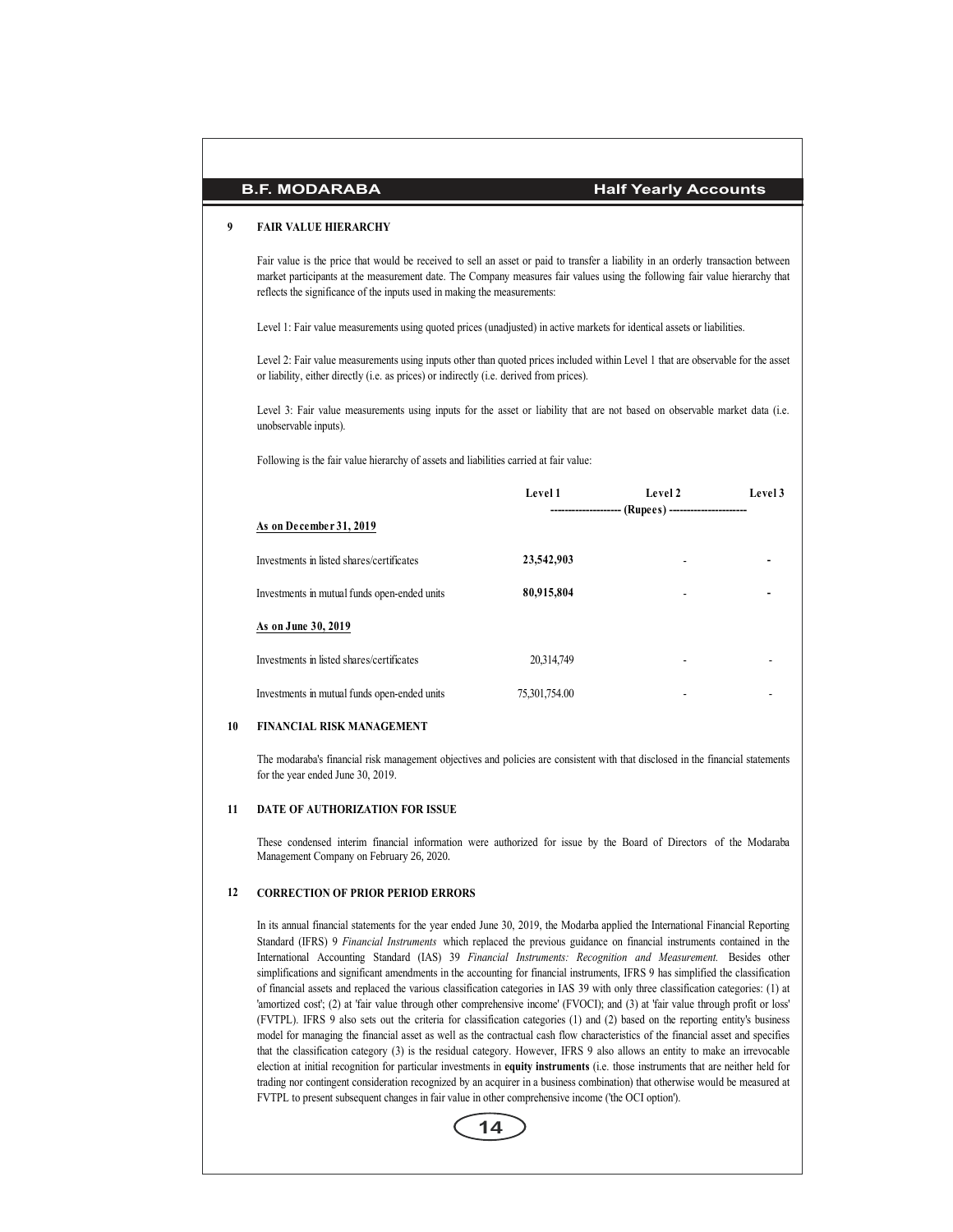### **9 FAIR VALUE HIERARCHY**

Fair value is the price that would be received to sell an asset or paid to transfer a liability in an orderly transaction between market participants at the measurement date. The Company measures fair values using the following fair value hierarchy that reflects the significance of the inputs used in making the measurements:

Level 1: Fair value measurements using quoted prices (unadjusted) in active markets for identical assets or liabilities.

Level 2: Fair value measurements using inputs other than quoted prices included within Level 1 that are observable for the asset or liability, either directly (i.e. as prices) or indirectly (i.e. derived from prices).

Level 3: Fair value measurements using inputs for the asset or liability that are not based on observable market data (i.e. unobservable inputs).

Following is the fair value hierarchy of assets and liabilities carried at fair value:

|                                              | Level 1       | Level 2<br>--------------------- (Rupees) ---------------------- | Level 3 |
|----------------------------------------------|---------------|------------------------------------------------------------------|---------|
| As on December 31, 2019                      |               |                                                                  |         |
| Investments in listed shares/certificates    | 23,542,903    | $\blacksquare$                                                   |         |
| Investments in mutual funds open-ended units | 80,915,804    | ۰                                                                |         |
| As on June 30, 2019                          |               |                                                                  |         |
| Investments in listed shares/certificates    | 20,314,749    | ۰                                                                |         |
| Investments in mutual funds open-ended units | 75,301,754.00 | ۰                                                                |         |

#### **10 FINANCIAL RISK MANAGEMENT**

The modaraba's financial risk management objectives and policies are consistent with that disclosed in the financial statements for the year ended June 30, 2019.

#### **11 DATE OF AUTHORIZATION FOR ISSUE**

These condensed interim financial information were authorized for issue by the Board of Directors of the Modaraba Management Company on February 26, 2020.

#### **12 CORRECTION OF PRIOR PERIOD ERRORS**

In its annual financial statements for the year ended June 30, 2019, the Modarba applied the International Financial Reporting Standard (IFRS) 9 *Financial Instruments* which replaced the previous guidance on financial instruments contained in the International Accounting Standard (IAS) 39 *Financial Instruments: Recognition and Measurement.* Besides other simplifications and significant amendments in the accounting for financial instruments, IFRS 9 has simplified the classification of financial assets and replaced the various classification categories in IAS 39 with only three classification categories: (1) at 'amortized cost'; (2) at 'fair value through other comprehensive income' (FVOCI); and (3) at 'fair value through profit or loss' (FVTPL). IFRS 9 also sets out the criteria for classification categories (1) and (2) based on the reporting entity's business model for managing the financial asset as well as the contractual cash flow characteristics of the financial asset and specifies that the classification category (3) is the residual category. However, IFRS 9 also allows an entity to make an irrevocable election at initial recognition for particular investments in **equity instruments** (i.e. those instruments that are neither held for trading nor contingent consideration recognized by an acquirer in a business combination) that otherwise would be measured at FVTPL to present subsequent changes in fair value in other comprehensive income ('the OCI option').

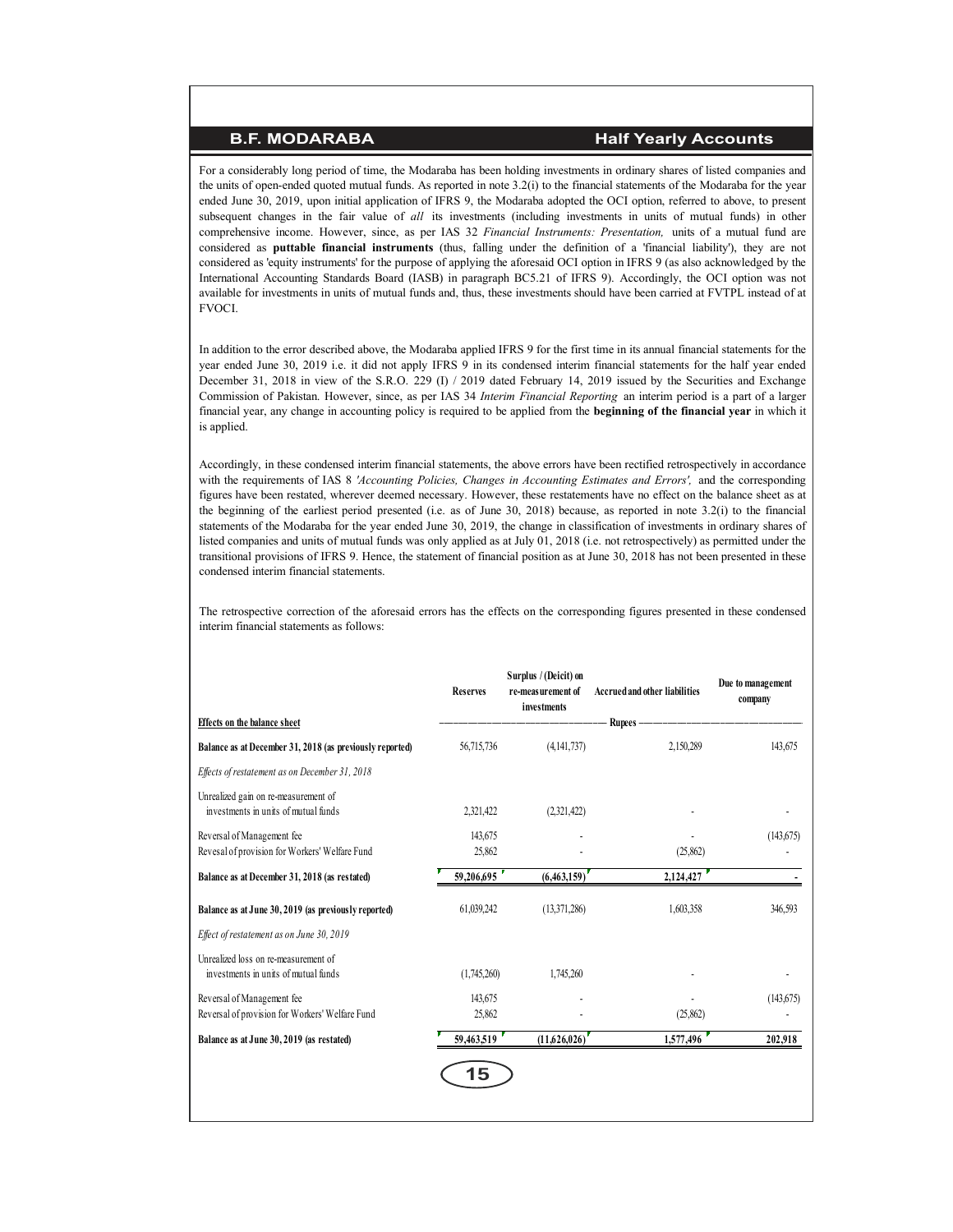For a considerably long period of time, the Modaraba has been holding investments in ordinary shares of listed companies and the units of open-ended quoted mutual funds. As reported in note 3.2(i) to the financial statements of the Modaraba for the year ended June 30, 2019, upon initial application of IFRS 9, the Modaraba adopted the OCI option, referred to above, to present subsequent changes in the fair value of *all* its investments (including investments in units of mutual funds) in other comprehensive income. However, since, as per IAS 32 *Financial Instruments: Presentation,* units of a mutual fund are considered as **puttable financial instruments** (thus, falling under the definition of a 'financial liability'), they are not considered as 'equity instruments' for the purpose of applying the aforesaid OCI option in IFRS 9 (as also acknowledged by the International Accounting Standards Board (IASB) in paragraph BC5.21 of IFRS 9). Accordingly, the OCI option was not available for investments in units of mutual funds and, thus, these investments should have been carried at FVTPL instead of at FVOCI.

In addition to the error described above, the Modaraba applied IFRS 9 for the first time in its annual financial statements for the year ended June 30, 2019 i.e. it did not apply IFRS 9 in its condensed interim financial statements for the half year ended December 31, 2018 in view of the S.R.O. 229 (I) / 2019 dated February 14, 2019 issued by the Securities and Exchange Commission of Pakistan. However, since, as per IAS 34 *Interim Financial Reporting* an interim period is a part of a larger financial year, any change in accounting policy is required to be applied from the **beginning of the financial year** in which it is applied.

Accordingly, in these condensed interim financial statements, the above errors have been rectified retrospectively in accordance with the requirements of IAS 8 *'Accounting Policies, Changes in Accounting Estimates and Errors',* and the corresponding figures have been restated, wherever deemed necessary. However, these restatements have no effect on the balance sheet as at the beginning of the earliest period presented (i.e. as of June 30, 2018) because, as reported in note 3.2(i) to the financial statements of the Modaraba for the year ended June 30, 2019, the change in classification of investments in ordinary shares of listed companies and units of mutual funds was only applied as at July 01, 2018 (i.e. not retrospectively) as permitted under the transitional provisions of IFRS 9. Hence, the statement of financial position as at June 30, 2018 has not been presented in these condensed interim financial statements.

The retrospective correction of the aforesaid errors has the effects on the corresponding figures presented in these condensed interim financial statements as follows:

|                                                                               | <b>Reserves</b>   | Surplus / (Deicit) on<br>re-measurement of<br>investments | <b>Accrued and other liabilities</b> | Due to management<br>company |
|-------------------------------------------------------------------------------|-------------------|-----------------------------------------------------------|--------------------------------------|------------------------------|
| <b>Effects</b> on the balance sheet                                           |                   |                                                           | Rupees -                             |                              |
| Balance as at December 31, 2018 (as previously reported)                      | 56,715,736        | (4,141,737)                                               | 2,150,289                            | 143,675                      |
| Effects of restatement as on December 31, 2018                                |                   |                                                           |                                      |                              |
| Unrealized gain on re-measurement of<br>investments in units of mutual funds  | 2,321,422         | (2,321,422)                                               |                                      |                              |
| Reversal of Management fee<br>Revesal of provision for Workers' Welfare Fund  | 143,675<br>25,862 |                                                           | (25, 862)                            | (143,675)                    |
| Balance as at December 31, 2018 (as restated)                                 | 59,206,695        | (6,463,159)                                               | 2,124,427                            |                              |
| Balance as at June 30, 2019 (as previously reported)                          | 61,039,242        | (13,371,286)                                              | 1,603,358                            | 346,593                      |
| Effect of restatement as on June 30, 2019                                     |                   |                                                           |                                      |                              |
| Unrealized loss on re-measurement of<br>investments in units of mutual funds  | (1,745,260)       | 1,745,260                                                 |                                      |                              |
| Reversal of Management fee<br>Reversal of provision for Workers' Welfare Fund | 143,675<br>25,862 |                                                           | (25,862)                             | (143, 675)                   |
| Balance as at June 30, 2019 (as restated)                                     | 59,463,519        | (11,626,026)                                              | 1,577,496                            | 202,918                      |
|                                                                               | 15                |                                                           |                                      |                              |